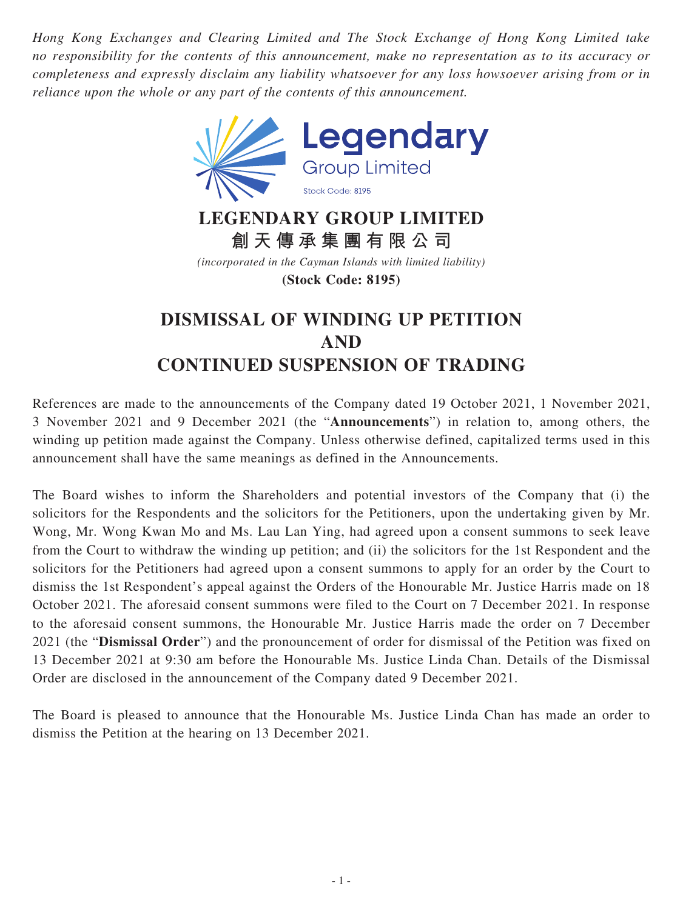*Hong Kong Exchanges and Clearing Limited and The Stock Exchange of Hong Kong Limited take no responsibility for the contents of this announcement, make no representation as to its accuracy or completeness and expressly disclaim any liability whatsoever for any loss howsoever arising from or in reliance upon the whole or any part of the contents of this announcement.*



## **LEGENDARY GROUP LIMITED 創天傳承集團有限公司**

*(incorporated in the Cayman Islands with limited liability)* **(Stock Code: 8195)**

## **DISMISSAL OF WINDING UP PETITION AND CONTINUED SUSPENSION OF TRADING**

References are made to the announcements of the Company dated 19 October 2021, 1 November 2021, 3 November 2021 and 9 December 2021 (the "**Announcements**") in relation to, among others, the winding up petition made against the Company. Unless otherwise defined, capitalized terms used in this announcement shall have the same meanings as defined in the Announcements.

The Board wishes to inform the Shareholders and potential investors of the Company that (i) the solicitors for the Respondents and the solicitors for the Petitioners, upon the undertaking given by Mr. Wong, Mr. Wong Kwan Mo and Ms. Lau Lan Ying, had agreed upon a consent summons to seek leave from the Court to withdraw the winding up petition; and (ii) the solicitors for the 1st Respondent and the solicitors for the Petitioners had agreed upon a consent summons to apply for an order by the Court to dismiss the 1st Respondent's appeal against the Orders of the Honourable Mr. Justice Harris made on 18 October 2021. The aforesaid consent summons were filed to the Court on 7 December 2021. In response to the aforesaid consent summons, the Honourable Mr. Justice Harris made the order on 7 December 2021 (the "**Dismissal Order**") and the pronouncement of order for dismissal of the Petition was fixed on 13 December 2021 at 9:30 am before the Honourable Ms. Justice Linda Chan. Details of the Dismissal Order are disclosed in the announcement of the Company dated 9 December 2021.

The Board is pleased to announce that the Honourable Ms. Justice Linda Chan has made an order to dismiss the Petition at the hearing on 13 December 2021.